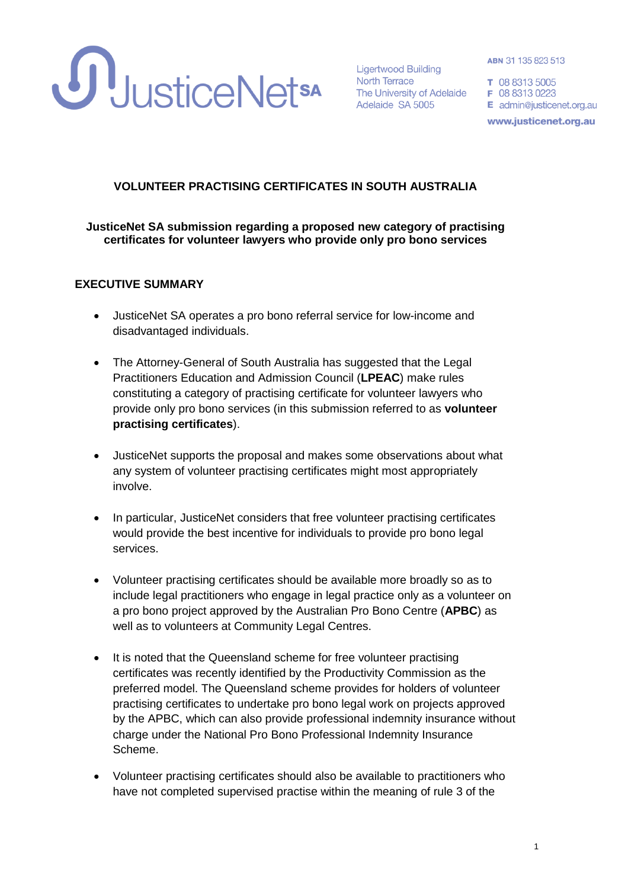

Adelaide SA 5005

ABN 31 135 823 513

E admin@justicenet.org.au www.justicenet.org.au

## **VOLUNTEER PRACTISING CERTIFICATES IN SOUTH AUSTRALIA**

#### **JusticeNet SA submission regarding a proposed new category of practising certificates for volunteer lawyers who provide only pro bono services**

#### **EXECUTIVE SUMMARY**

- JusticeNet SA operates a pro bono referral service for low-income and disadvantaged individuals.
- The Attorney-General of South Australia has suggested that the Legal Practitioners Education and Admission Council (**LPEAC**) make rules constituting a category of practising certificate for volunteer lawyers who provide only pro bono services (in this submission referred to as **volunteer practising certificates**).
- JusticeNet supports the proposal and makes some observations about what any system of volunteer practising certificates might most appropriately involve.
- In particular, JusticeNet considers that free volunteer practising certificates would provide the best incentive for individuals to provide pro bono legal services.
- Volunteer practising certificates should be available more broadly so as to include legal practitioners who engage in legal practice only as a volunteer on a pro bono project approved by the Australian Pro Bono Centre (**APBC**) as well as to volunteers at Community Legal Centres.
- It is noted that the Queensland scheme for free volunteer practising certificates was recently identified by the Productivity Commission as the preferred model. The Queensland scheme provides for holders of volunteer practising certificates to undertake pro bono legal work on projects approved by the APBC, which can also provide professional indemnity insurance without charge under the National Pro Bono Professional Indemnity Insurance Scheme.
- Volunteer practising certificates should also be available to practitioners who have not completed supervised practise within the meaning of rule 3 of the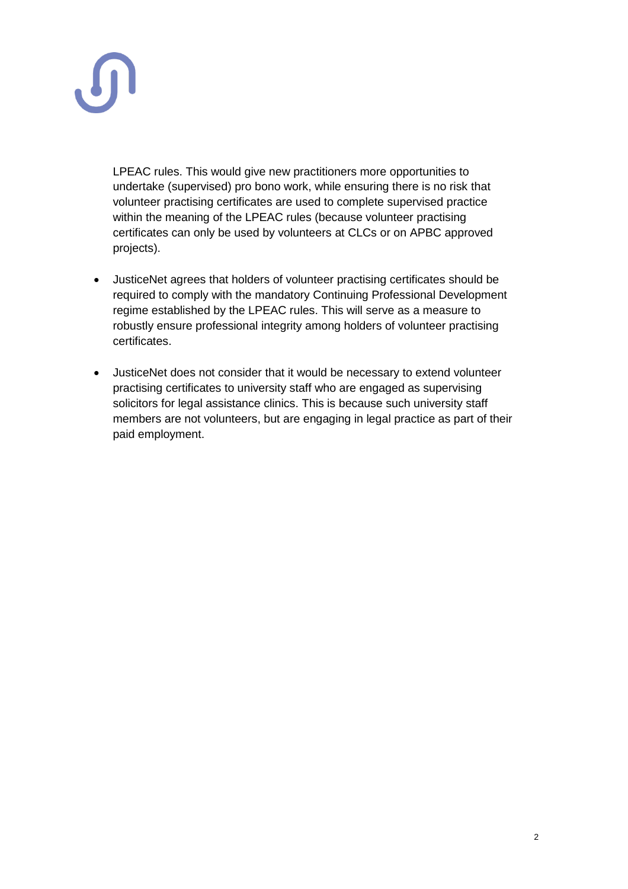

LPEAC rules. This would give new practitioners more opportunities to undertake (supervised) pro bono work, while ensuring there is no risk that volunteer practising certificates are used to complete supervised practice within the meaning of the LPEAC rules (because volunteer practising certificates can only be used by volunteers at CLCs or on APBC approved projects).

- JusticeNet agrees that holders of volunteer practising certificates should be required to comply with the mandatory Continuing Professional Development regime established by the LPEAC rules. This will serve as a measure to robustly ensure professional integrity among holders of volunteer practising certificates.
- JusticeNet does not consider that it would be necessary to extend volunteer practising certificates to university staff who are engaged as supervising solicitors for legal assistance clinics. This is because such university staff members are not volunteers, but are engaging in legal practice as part of their paid employment.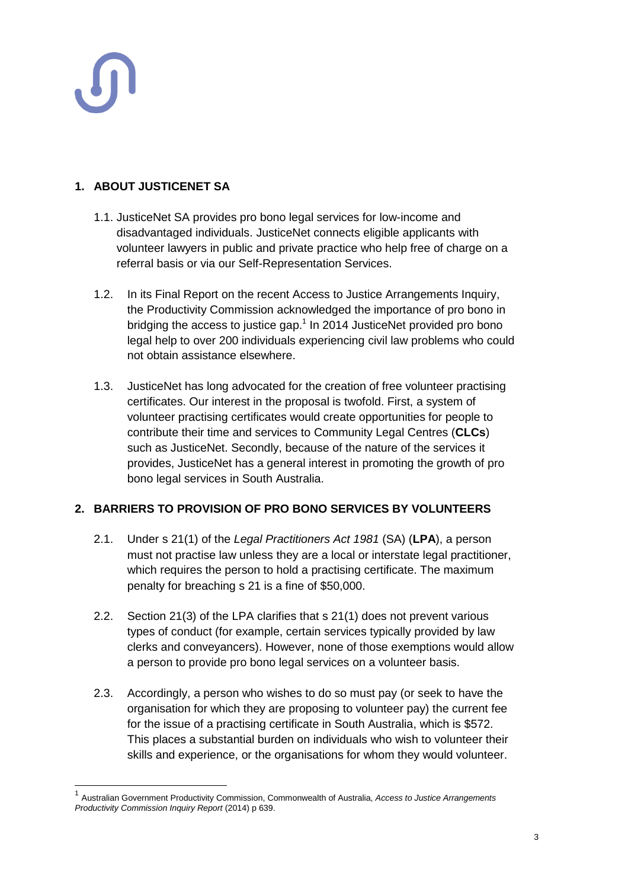$\overline{\phantom{a}}$ 

# **1. ABOUT JUSTICENET SA**

- 1.1. JusticeNet SA provides pro bono legal services for low-income and disadvantaged individuals. JusticeNet connects eligible applicants with volunteer lawyers in public and private practice who help free of charge on a referral basis or via our Self-Representation Services.
- 1.2. In its Final Report on the recent Access to Justice Arrangements Inquiry, the Productivity Commission acknowledged the importance of pro bono in bridging the access to justice gap.<sup>1</sup> In 2014 JusticeNet provided pro bono legal help to over 200 individuals experiencing civil law problems who could not obtain assistance elsewhere.
- 1.3. JusticeNet has long advocated for the creation of free volunteer practising certificates. Our interest in the proposal is twofold. First, a system of volunteer practising certificates would create opportunities for people to contribute their time and services to Community Legal Centres (**CLCs**) such as JusticeNet. Secondly, because of the nature of the services it provides, JusticeNet has a general interest in promoting the growth of pro bono legal services in South Australia.

## **2. BARRIERS TO PROVISION OF PRO BONO SERVICES BY VOLUNTEERS**

- 2.1. Under s 21(1) of the *Legal Practitioners Act 1981* (SA) (**LPA**), a person must not practise law unless they are a local or interstate legal practitioner, which requires the person to hold a practising certificate. The maximum penalty for breaching s 21 is a fine of \$50,000.
- 2.2. Section 21(3) of the LPA clarifies that s 21(1) does not prevent various types of conduct (for example, certain services typically provided by law clerks and conveyancers). However, none of those exemptions would allow a person to provide pro bono legal services on a volunteer basis.
- 2.3. Accordingly, a person who wishes to do so must pay (or seek to have the organisation for which they are proposing to volunteer pay) the current fee for the issue of a practising certificate in South Australia, which is \$572. This places a substantial burden on individuals who wish to volunteer their skills and experience, or the organisations for whom they would volunteer.

<sup>1</sup> Australian Government Productivity Commission, Commonwealth of Australia, *Access to Justice Arrangements Productivity Commission Inquiry Report* (2014) p 639.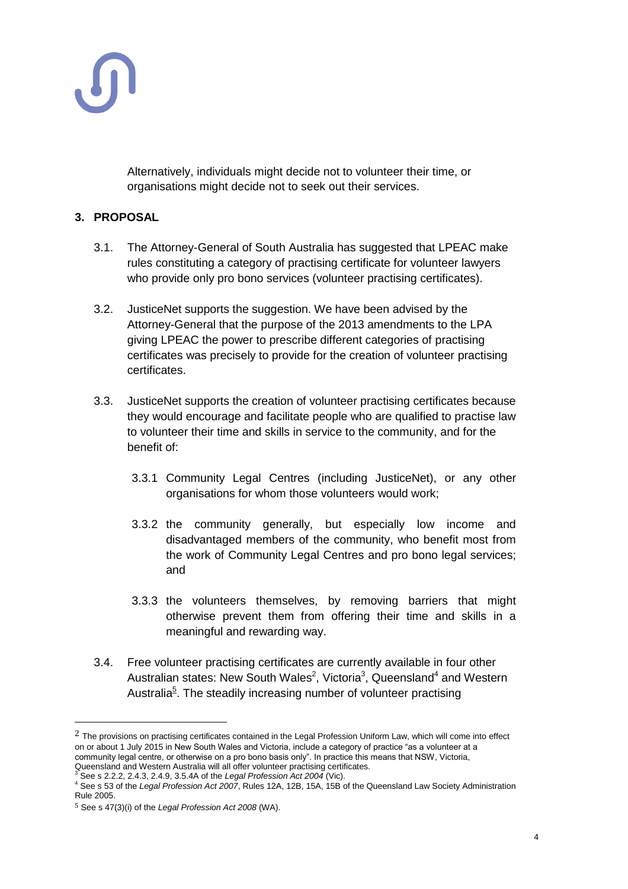

Alternatively, individuals might decide not to volunteer their time, or organisations might decide not to seek out their services.

### **3. PROPOSAL**

- 3.1. The Attorney-General of South Australia has suggested that LPEAC make rules constituting a category of practising certificate for volunteer lawyers who provide only pro bono services (volunteer practising certificates).
- 3.2. JusticeNet supports the suggestion. We have been advised by the Attorney-General that the purpose of the 2013 amendments to the LPA giving LPEAC the power to prescribe different categories of practising certificates was precisely to provide for the creation of volunteer practising certificates.
- 3.3. JusticeNet supports the creation of volunteer practising certificates because they would encourage and facilitate people who are qualified to practise law to volunteer their time and skills in service to the community, and for the benefit of:
	- 3.3.1 Community Legal Centres (including JusticeNet), or any other organisations for whom those volunteers would work;
	- 3.3.2 the community generally, but especially low income and disadvantaged members of the community, who benefit most from the work of Community Legal Centres and pro bono legal services; and
	- 3.3.3 the volunteers themselves, by removing barriers that might otherwise prevent them from offering their time and skills in a meaningful and rewarding way.
- 3.4. Free volunteer practising certificates are currently available in four other Australian states: New South Wales<sup>2</sup>, Victoria<sup>3</sup>, Queensland<sup>4</sup> and Western Australia<sup>5</sup>. The steadily increasing number of volunteer practising

 $\overline{a}$ 

 $2$  The provisions on practising certificates contained in the Legal Profession Uniform Law, which will come into effect on or about 1 July 2015 in New South Wales and Victoria, include a category of practice "as a volunteer at a community legal centre, or otherwise on a pro bono basis only". In practice this means that NSW, Victoria, Queensland and Western Australia will all offer volunteer practising certificates.

<sup>3</sup> See s 2.2.2, 2.4.3, 2.4.9, 3.5.4A of the *Legal Profession Act 2004* (Vic).

<sup>4</sup> See s 53 of the *Legal Profession Act 2007*, Rules 12A, 12B, 15A, 15B of the Queensland Law Society Administration Rule 2005.

<sup>5</sup> See s 47(3)(i) of the *Legal Profession Act 2008* (WA).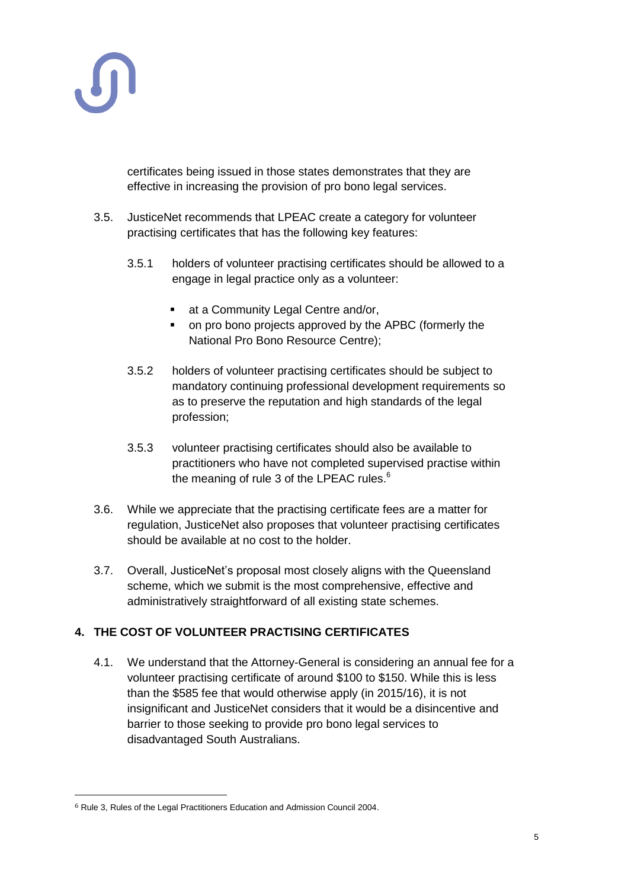

certificates being issued in those states demonstrates that they are effective in increasing the provision of pro bono legal services.

- 3.5. JusticeNet recommends that LPEAC create a category for volunteer practising certificates that has the following key features:
	- 3.5.1 holders of volunteer practising certificates should be allowed to a engage in legal practice only as a volunteer:
		- **at a Community Legal Centre and/or,**
		- on pro bono projects approved by the APBC (formerly the National Pro Bono Resource Centre);
	- 3.5.2 holders of volunteer practising certificates should be subject to mandatory continuing professional development requirements so as to preserve the reputation and high standards of the legal profession;
	- 3.5.3 volunteer practising certificates should also be available to practitioners who have not completed supervised practise within the meaning of rule 3 of the LPEAC rules.<sup>6</sup>
- 3.6. While we appreciate that the practising certificate fees are a matter for regulation, JusticeNet also proposes that volunteer practising certificates should be available at no cost to the holder.
- 3.7. Overall, JusticeNet's proposal most closely aligns with the Queensland scheme, which we submit is the most comprehensive, effective and administratively straightforward of all existing state schemes.

## **4. THE COST OF VOLUNTEER PRACTISING CERTIFICATES**

4.1. We understand that the Attorney-General is considering an annual fee for a volunteer practising certificate of around \$100 to \$150. While this is less than the \$585 fee that would otherwise apply (in 2015/16), it is not insignificant and JusticeNet considers that it would be a disincentive and barrier to those seeking to provide pro bono legal services to disadvantaged South Australians.

 $\overline{a}$ 

<sup>6</sup> Rule 3, Rules of the Legal Practitioners Education and Admission Council 2004.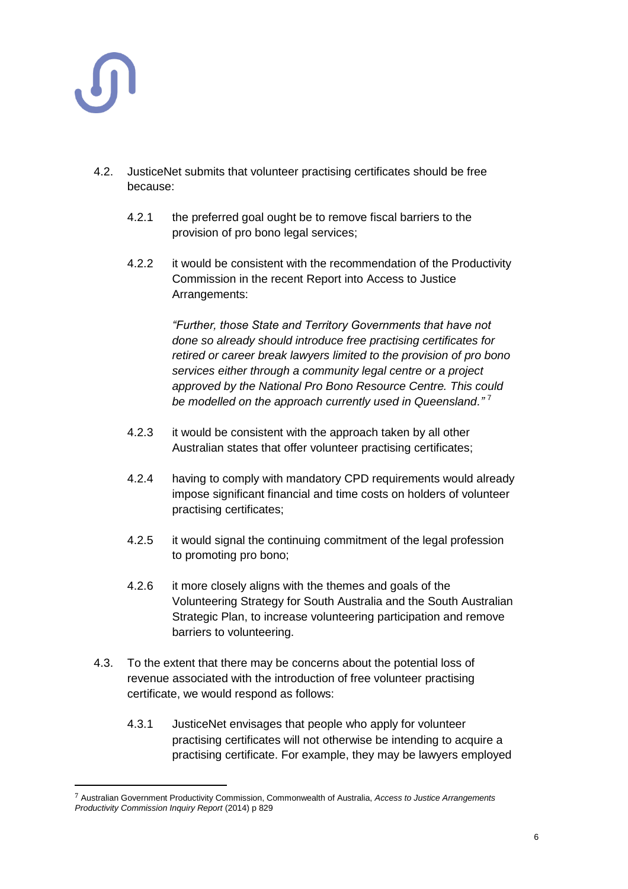

 $\overline{a}$ 

- 4.2. JusticeNet submits that volunteer practising certificates should be free because:
	- 4.2.1 the preferred goal ought be to remove fiscal barriers to the provision of pro bono legal services;
	- 4.2.2 it would be consistent with the recommendation of the Productivity Commission in the recent Report into Access to Justice Arrangements:

*"Further, those State and Territory Governments that have not done so already should introduce free practising certificates for retired or career break lawyers limited to the provision of pro bono services either through a community legal centre or a project approved by the National Pro Bono Resource Centre. This could be modelled on the approach currently used in Queensland."* <sup>7</sup>

- 4.2.3 it would be consistent with the approach taken by all other Australian states that offer volunteer practising certificates;
- 4.2.4 having to comply with mandatory CPD requirements would already impose significant financial and time costs on holders of volunteer practising certificates;
- 4.2.5 it would signal the continuing commitment of the legal profession to promoting pro bono;
- 4.2.6 it more closely aligns with the themes and goals of the Volunteering Strategy for South Australia and the South Australian Strategic Plan, to increase volunteering participation and remove barriers to volunteering.
- 4.3. To the extent that there may be concerns about the potential loss of revenue associated with the introduction of free volunteer practising certificate, we would respond as follows:
	- 4.3.1 JusticeNet envisages that people who apply for volunteer practising certificates will not otherwise be intending to acquire a practising certificate. For example, they may be lawyers employed

<sup>7</sup> Australian Government Productivity Commission, Commonwealth of Australia, *Access to Justice Arrangements Productivity Commission Inquiry Report* (2014) p 829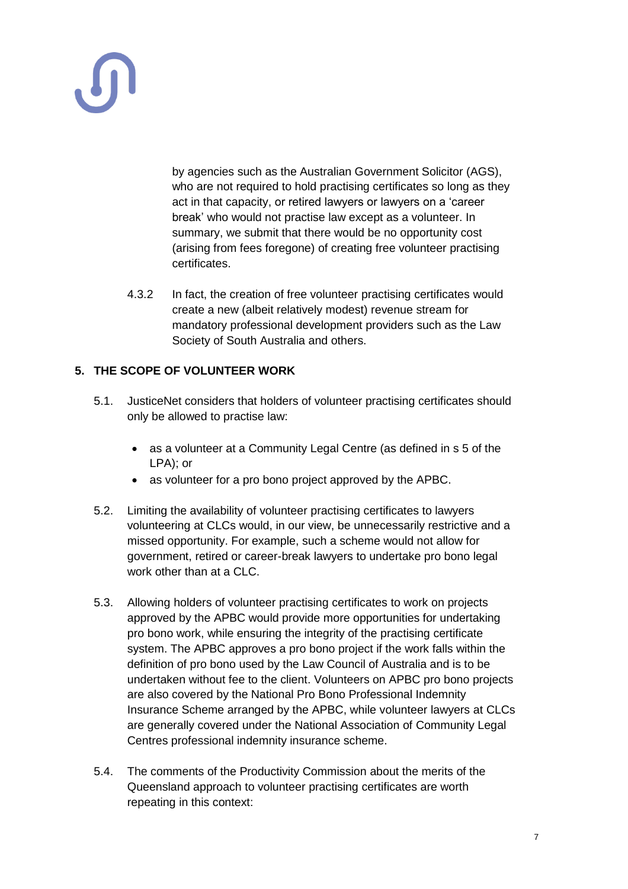by agencies such as the Australian Government Solicitor (AGS), who are not required to hold practising certificates so long as they act in that capacity, or retired lawyers or lawyers on a 'career break' who would not practise law except as a volunteer. In summary, we submit that there would be no opportunity cost (arising from fees foregone) of creating free volunteer practising certificates.

4.3.2 In fact, the creation of free volunteer practising certificates would create a new (albeit relatively modest) revenue stream for mandatory professional development providers such as the Law Society of South Australia and others.

## **5. THE SCOPE OF VOLUNTEER WORK**

- 5.1. JusticeNet considers that holders of volunteer practising certificates should only be allowed to practise law:
	- as a volunteer at a Community Legal Centre (as defined in s 5 of the LPA); or
	- as volunteer for a pro bono project approved by the APBC.
- 5.2. Limiting the availability of volunteer practising certificates to lawyers volunteering at CLCs would, in our view, be unnecessarily restrictive and a missed opportunity. For example, such a scheme would not allow for government, retired or career-break lawyers to undertake pro bono legal work other than at a CLC.
- 5.3. Allowing holders of volunteer practising certificates to work on projects approved by the APBC would provide more opportunities for undertaking pro bono work, while ensuring the integrity of the practising certificate system. The APBC approves a pro bono project if the work falls within the definition of pro bono used by the Law Council of Australia and is to be undertaken without fee to the client. Volunteers on APBC pro bono projects are also covered by the National Pro Bono Professional Indemnity Insurance Scheme arranged by the APBC, while volunteer lawyers at CLCs are generally covered under the National Association of Community Legal Centres professional indemnity insurance scheme.
- 5.4. The comments of the Productivity Commission about the merits of the Queensland approach to volunteer practising certificates are worth repeating in this context: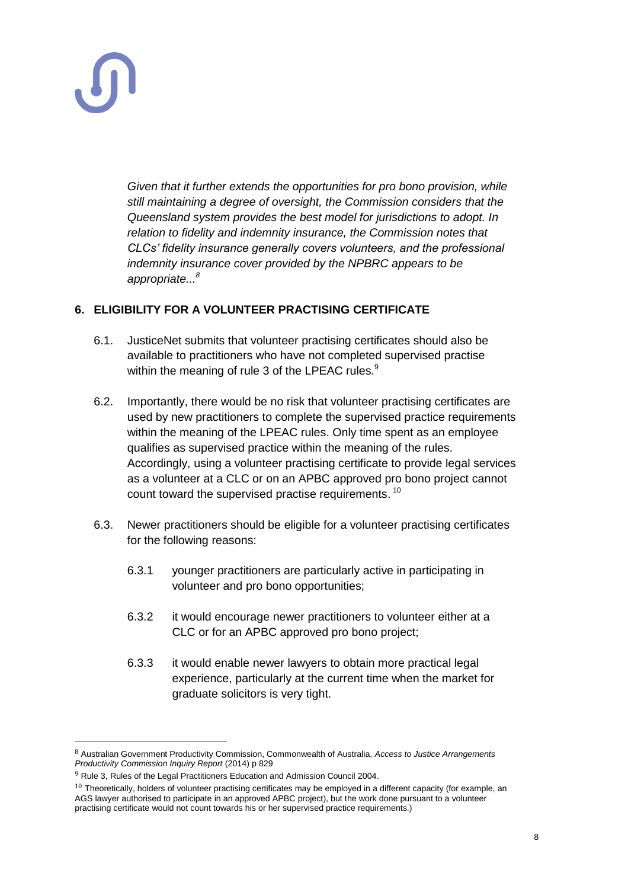

*Given that it further extends the opportunities for pro bono provision, while still maintaining a degree of oversight, the Commission considers that the Queensland system provides the best model for jurisdictions to adopt. In relation to fidelity and indemnity insurance, the Commission notes that CLCs' fidelity insurance generally covers volunteers, and the professional indemnity insurance cover provided by the NPBRC appears to be appropriate... 8*

### **6. ELIGIBILITY FOR A VOLUNTEER PRACTISING CERTIFICATE**

- 6.1. JusticeNet submits that volunteer practising certificates should also be available to practitioners who have not completed supervised practise within the meaning of rule 3 of the LPEAC rules.<sup>9</sup>
- 6.2. Importantly, there would be no risk that volunteer practising certificates are used by new practitioners to complete the supervised practice requirements within the meaning of the LPEAC rules. Only time spent as an employee qualifies as supervised practice within the meaning of the rules. Accordingly, using a volunteer practising certificate to provide legal services as a volunteer at a CLC or on an APBC approved pro bono project cannot count toward the supervised practise requirements. <sup>10</sup>
- 6.3. Newer practitioners should be eligible for a volunteer practising certificates for the following reasons:
	- 6.3.1 younger practitioners are particularly active in participating in volunteer and pro bono opportunities;
	- 6.3.2 it would encourage newer practitioners to volunteer either at a CLC or for an APBC approved pro bono project;
	- 6.3.3 it would enable newer lawyers to obtain more practical legal experience, particularly at the current time when the market for graduate solicitors is very tight.

<sup>8</sup> Australian Government Productivity Commission, Commonwealth of Australia, *Access to Justice Arrangements Productivity Commission Inquiry Report* (2014) p 829

 $9$  Rule 3, Rules of the Legal Practitioners Education and Admission Council 2004.

 $10$  Theoretically, holders of volunteer practising certificates may be employed in a different capacity (for example, an AGS lawyer authorised to participate in an approved APBC project), but the work done pursuant to a volunteer practising certificate would not count towards his or her supervised practice requirements.)